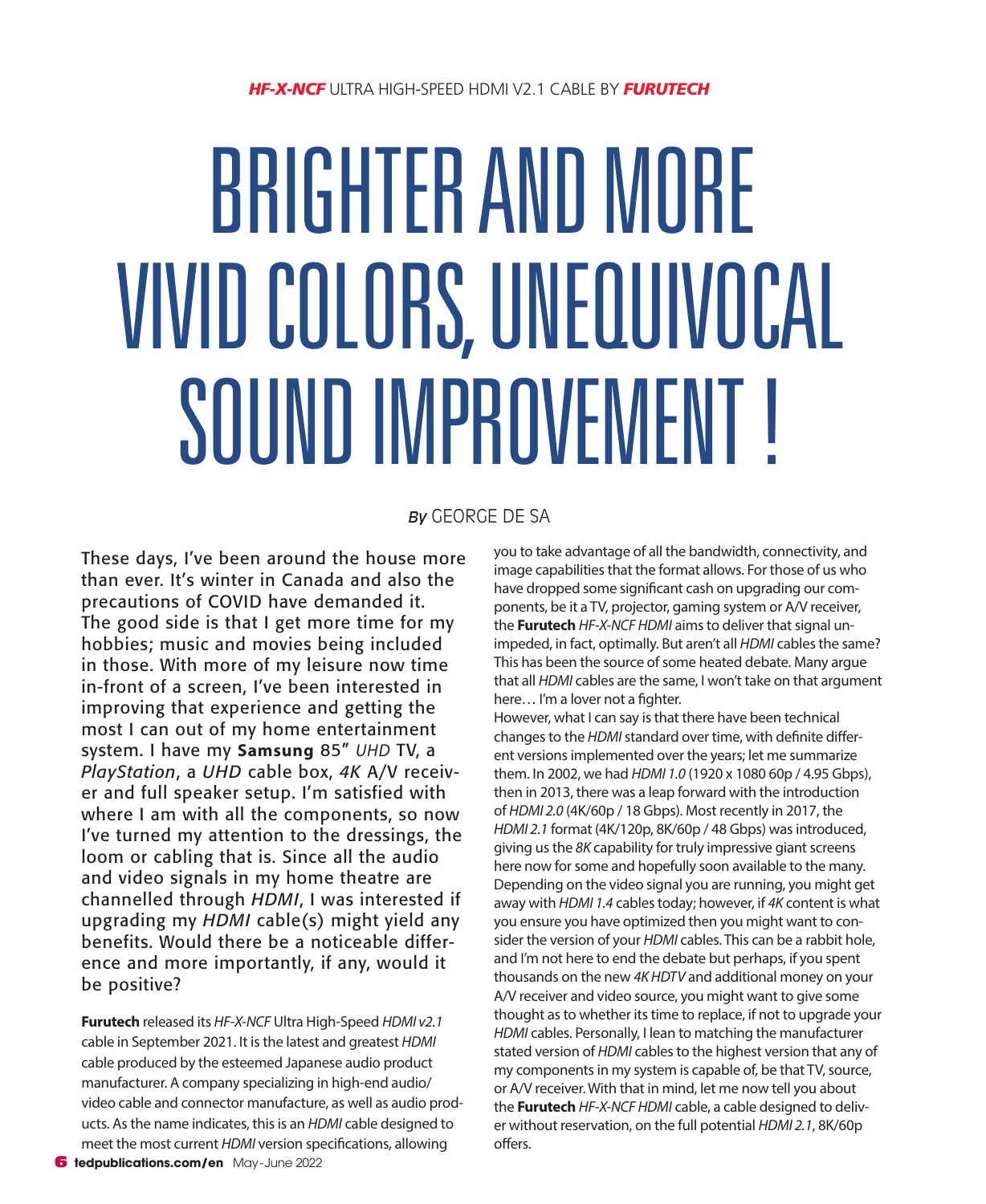# BRIGHTER AND MORE VIVID COLORS, UNEQUIVOCAL SOUND IMPROVEMENT!

# *By* GEORGE DE SA

These days, I've been around the house more than ever. It's winter in Canada and also the precautions of COVID have demanded it. The good side is that I get more time for my hobbies; music and movies being included in those. With more of my leisure now time in-front of a screen, I've been interested in improving that experience and getting the most I can out of my home entertainment system. I have my **Samsung** 85" *UHD* TV, a *PlayStation*, a *UHD* cable box, *4K* A/V receiver and full speaker setup. I'm satisfied with where I am with all the components, so now I've turned my attention to the dressings, the loom or cabling that is. Since all the audio and video signals in my home theatre are channelled through *HDMI*, I was interested if upgrading my *HDMI* cable(s) might yield any benefits. Would there be a noticeable difference and more importantly, if any, would it be positive?

**Furutech** released its *HF-X-NCF* Ultra High-Speed *HDMI v2.1* cable in September 2021. It is the latest and greatest *HDMI* cable produced by the esteemed Japanese audio product manufacturer. A company specializing in high-end audio/ video cable and connector manufacture, as well as audio products. As the name indicates, this is an *HDMI* cable designed to meet the most current *HDMI* version specifications, allowing

you to take advantage of all the bandwidth, connectivity, and image capabilities that the format allows. For those of us who have dropped some significant cash on upgrading our components, be it a TV, projector, gaming system or A/V receiver, the **Furutech** *HF-X-NCF HDMI* aims to deliver that signal unimpeded, in fact, optimally. But aren't all *HDMI* cables the same? This has been the source of some heated debate. Many argue that all *HDMI* cables are the same, I won't take on that argument here… I'm a lover not a fighter.

However, what I can say is that there have been technical changes to the *HDMI* standard over time, with definite different versions implemented over the years; let me summarize them. In 2002, we had *HDMI 1.0* (1920 x 1080 60p / 4.95 Gbps), then in 2013, there was a leap forward with the introduction of *HDMI 2.0* (4K/60p / 18 Gbps). Most recently in 2017, the *HDMI 2.1* format (4K/120p, 8K/60p / 48 Gbps) was introduced, giving us the *8K* capability for truly impressive giant screens here now for some and hopefully soon available to the many. Depending on the video signal you are running, you might get away with *HDMI 1.4* cables today; however, if *4K* content is what you ensure you have optimized then you might want to consider the version of your *HDMI* cables. This can be a rabbit hole, and I'm not here to end the debate but perhaps, if you spent thousands on the new *4K HDTV* and additional money on your A/V receiver and video source, you might want to give some thought as to whether its time to replace, if not to upgrade your *HDMI* cables. Personally, I lean to matching the manufacturer stated version of *HDMI* cables to the highest version that any of my components in my system is capable of, be that TV, source, or A/V receiver. With that in mind, let me now tell you about the **Furutech** *HF-X-NCF HDMI* cable, a cable designed to deliver without reservation, on the full potential *HDMI 2.1*, 8K/60p offers.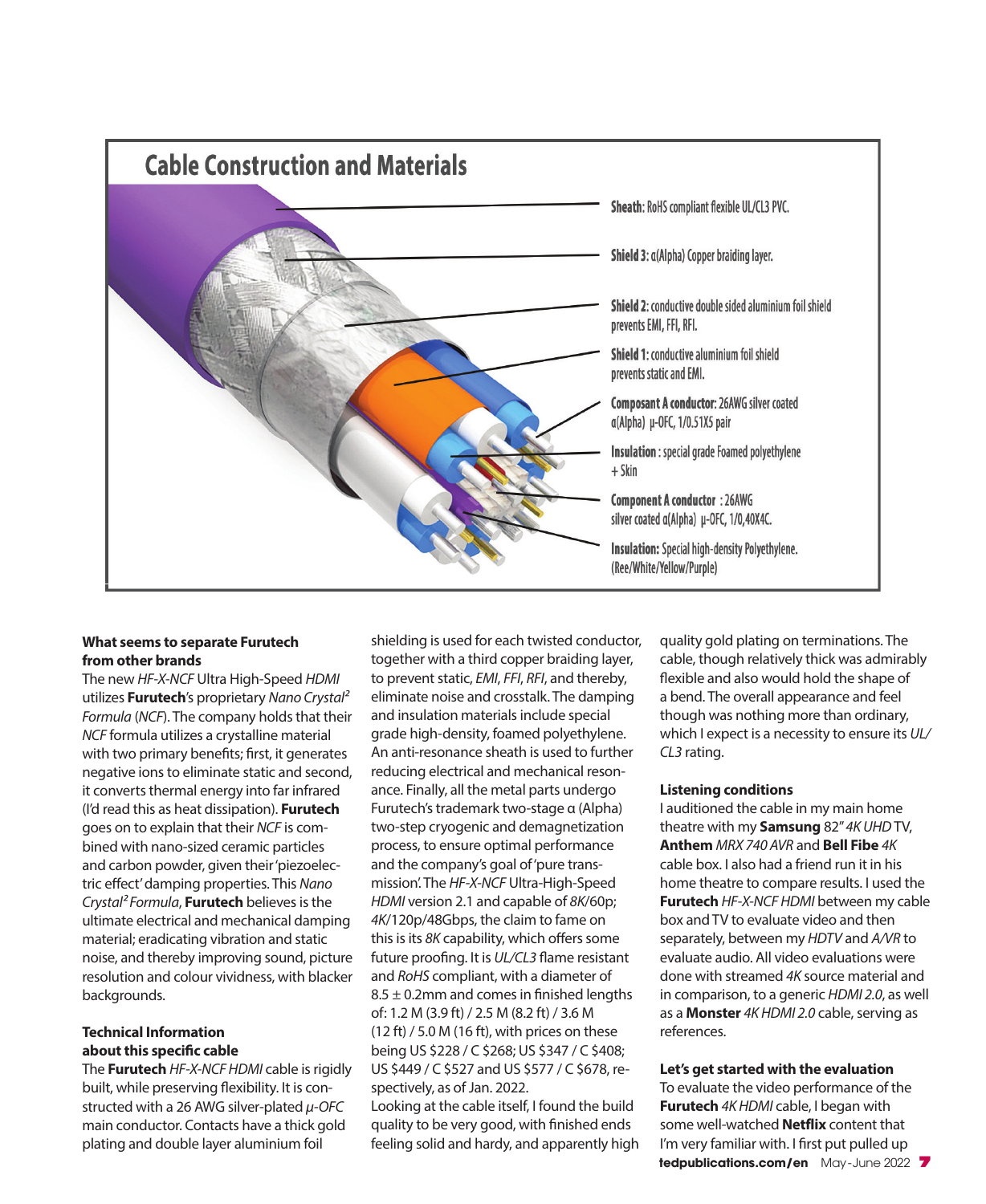

### **What seems to separate Furutech from other brands**

The new *HF-X-NCF* Ultra High-Speed *HDMI* utilizes **Furutech**'s proprietary *Nano Crystal² Formula* (*NCF*). The company holds that their *NCF* formula utilizes a crystalline material with two primary benefits; first, it generates negative ions to eliminate static and second, it converts thermal energy into far infrared (I'd read this as heat dissipation). **Furutech** goes on to explain that their *NCF* is combined with nano-sized ceramic particles and carbon powder, given their 'piezoelectric effect' damping properties. This *Nano Crystal² Formula*, **Furutech** believes is the ultimate electrical and mechanical damping material; eradicating vibration and static noise, and thereby improving sound, picture resolution and colour vividness, with blacker backgrounds.

# **Technical Information about this specific cable**

The **Furutech** *HF-X-NCF HDMI* cable is rigidly built, while preserving flexibility. It is constructed with a 26 AWG silver-plated *µ-OFC* main conductor. Contacts have a thick gold plating and double layer aluminium foil

shielding is used for each twisted conductor, together with a third copper braiding layer, to prevent static, *EMI*, *FFI*, *RFI*, and thereby, eliminate noise and crosstalk. The damping and insulation materials include special grade high-density, foamed polyethylene. An anti-resonance sheath is used to further reducing electrical and mechanical resonance. Finally, all the metal parts undergo Furutech's trademark two-stage α (Alpha) two-step cryogenic and demagnetization process, to ensure optimal performance and the company's goal of 'pure transmission'. The *HF-X-NCF* Ultra-High-Speed *HDMI* version 2.1 and capable of *8K*/60p; *4K*/120p/48Gbps, the claim to fame on this is its *8K* capability, which offers some future proofing. It is *UL/CL3* flame resistant and *RoHS* compliant, with a diameter of  $8.5 \pm 0.2$ mm and comes in finished lengths of: 1.2 M (3.9 ft) / 2.5 M (8.2 ft) / 3.6 M  $(12 ft) / 5.0 M (16 ft)$ , with prices on these being US \$228 / C \$268; US \$347 / C \$408; US \$449 / C \$527 and US \$577 / C \$678, respectively, as of Jan. 2022.

Looking at the cable itself, I found the build quality to be very good, with finished ends feeling solid and hardy, and apparently high quality gold plating on terminations. The cable, though relatively thick was admirably flexible and also would hold the shape of a bend. The overall appearance and feel though was nothing more than ordinary, which I expect is a necessity to ensure its *UL/ CL3* rating.

### **Listening conditions**

I auditioned the cable in my main home theatre with my **Samsung** 82" *4K UHD* TV, **Anthem** *MRX 740 AVR* and **Bell Fibe** *4K*  cable box. I also had a friend run it in his home theatre to compare results. I used the **Furutech** *HF-X-NCF HDMI* between my cable box and TV to evaluate video and then separately, between my *HDTV* and *A/VR* to evaluate audio. All video evaluations were done with streamed *4K* source material and in comparison, to a generic *HDMI 2.0*, as well as a **Monster** *4K HDMI 2.0* cable, serving as references.

# **Let's get started with the evaluation**

**tedpublications.com/en** May-June 2022 7 To evaluate the video performance of the **Furutech** *4K HDMI* cable, I began with some well-watched **Netflix** content that I'm very familiar with. I first put pulled up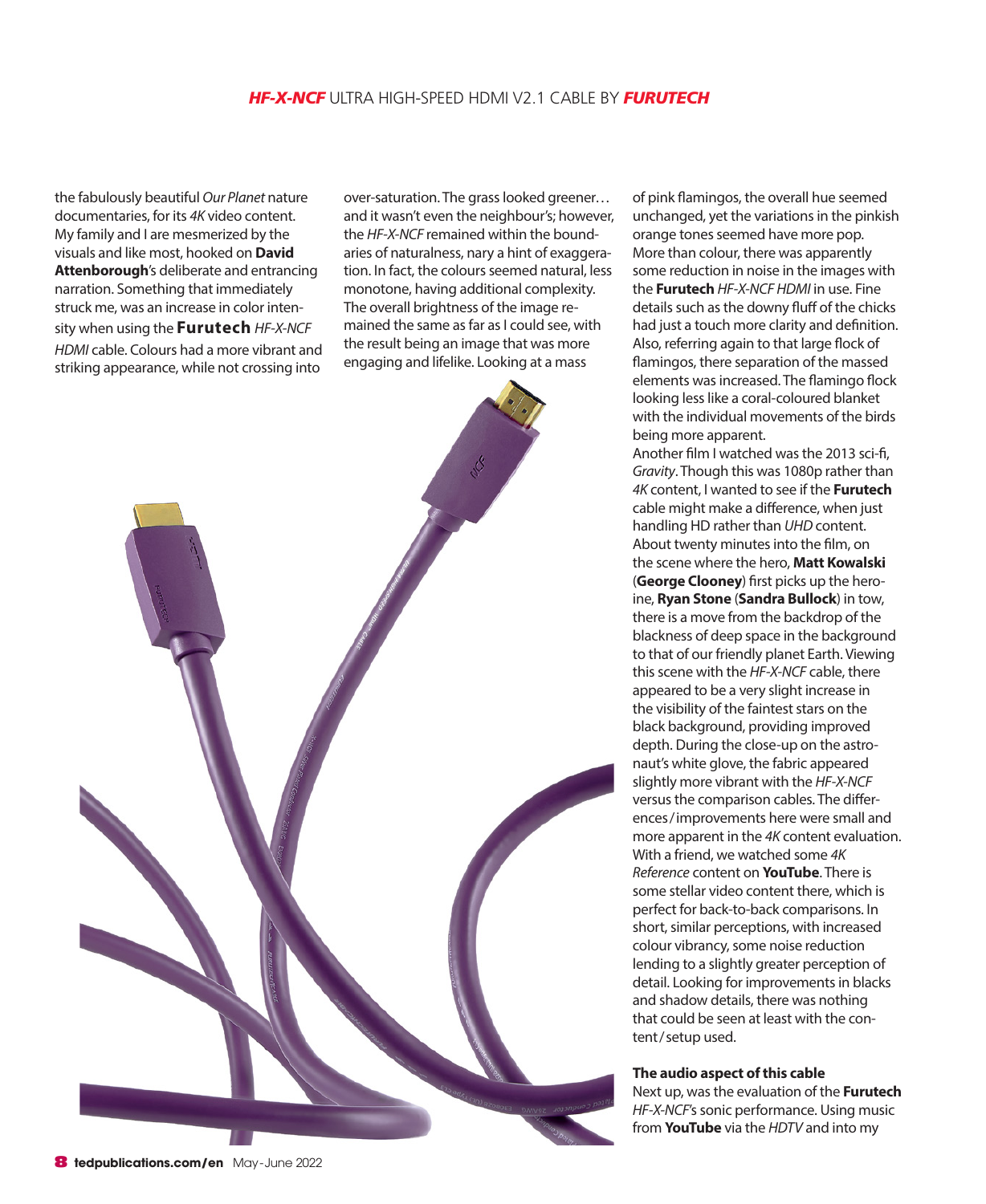the fabulously beautiful *Our Planet* nature documentaries, for its *4K* video content. My family and I are mesmerized by the visuals and like most, hooked on **David Attenborough**'s deliberate and entrancing narration. Something that immediately struck me, was an increase in color intensity when using the **Furutech** *HF-X-NCF HDMI* cable. Colours had a more vibrant and striking appearance, while not crossing into

over-saturation. The grass looked greener… and it wasn't even the neighbour's; however, the *HF-X-NCF* remained within the boundaries of naturalness, nary a hint of exaggeration. In fact, the colours seemed natural, less monotone, having additional complexity. The overall brightness of the image remained the same as far as I could see, with the result being an image that was more engaging and lifelike. Looking at a mass



of pink flamingos, the overall hue seemed unchanged, yet the variations in the pinkish orange tones seemed have more pop. More than colour, there was apparently some reduction in noise in the images with the **Furutech** *HF-X-NCF HDMI* in use. Fine details such as the downy fluff of the chicks had just a touch more clarity and definition. Also, referring again to that large flock of flamingos, there separation of the massed elements was increased. The flamingo flock looking less like a coral-coloured blanket with the individual movements of the birds being more apparent.

Another film I watched was the 2013 sci-fi, *Gravity*. Though this was 1080p rather than *4K* content, I wanted to see if the **Furutech** cable might make a difference, when just handling HD rather than *UHD* content. About twenty minutes into the film, on the scene where the hero, **Matt Kowalski** (**George Clooney**) first picks up the heroine, **Ryan Stone** (**Sandra Bullock**) in tow, there is a move from the backdrop of the blackness of deep space in the background to that of our friendly planet Earth. Viewing this scene with the *HF-X-NCF* cable, there appeared to be a very slight increase in the visibility of the faintest stars on the black background, providing improved depth. During the close-up on the astronaut's white glove, the fabric appeared slightly more vibrant with the *HF-X-NCF* versus the comparison cables. The differences/improvements here were small and more apparent in the *4K* content evaluation. With a friend, we watched some *4K Reference* content on **YouTube**. There is some stellar video content there, which is perfect for back-to-back comparisons. In short, similar perceptions, with increased colour vibrancy, some noise reduction lending to a slightly greater perception of detail. Looking for improvements in blacks and shadow details, there was nothing that could be seen at least with the content/setup used.

### **The audio aspect of this cable**

Next up, was the evaluation of the **Furutech** *HF-X-NCF*'s sonic performance. Using music from **YouTube** via the *HDTV* and into my